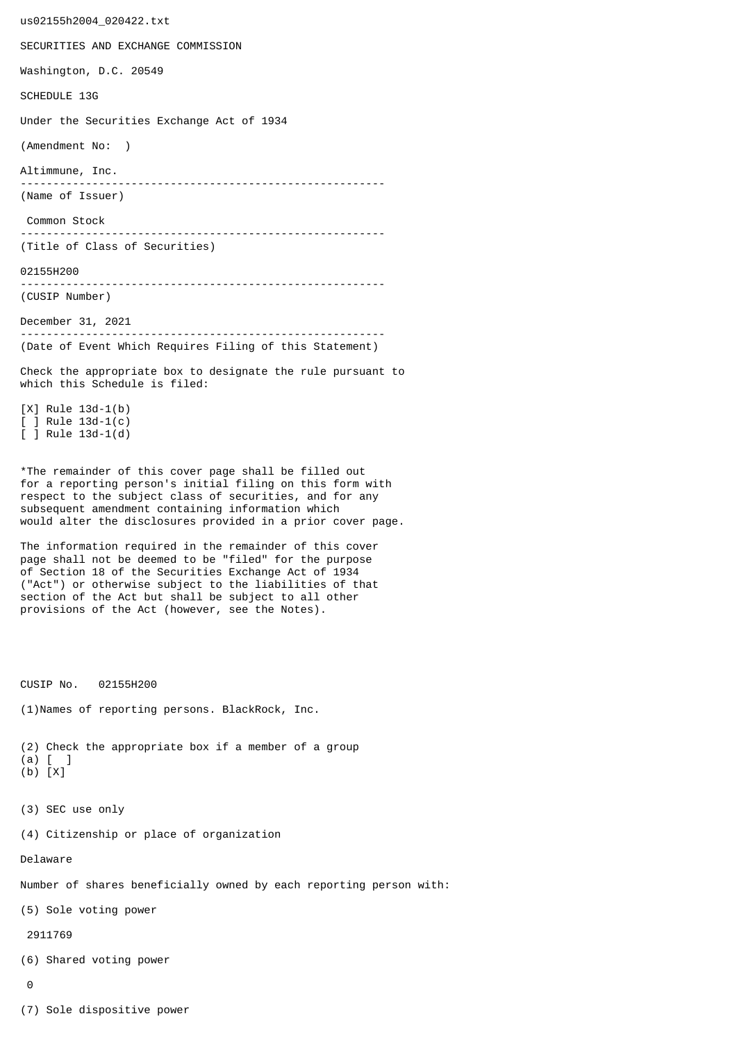us02155h2004\_020422.txt SECURITIES AND EXCHANGE COMMISSION Washington, D.C. 20549 SCHEDULE 13G Under the Securities Exchange Act of 1934 (Amendment No: ) Altimmune, Inc. -------------------------------------------------------- (Name of Issuer) Common Stock -------------------------------------------------------- (Title of Class of Securities) 02155H200 -------------------------------------------------------- (CUSIP Number) December 31, 2021 -------------------------------------------------------- (Date of Event Which Requires Filing of this Statement) Check the appropriate box to designate the rule pursuant to which this Schedule is filed: [X] Rule 13d-1(b) [ ] Rule 13d-1(c) [ ] Rule 13d-1(d) \*The remainder of this cover page shall be filled out for a reporting person's initial filing on this form with respect to the subject class of securities, and for any subsequent amendment containing information which would alter the disclosures provided in a prior cover page. The information required in the remainder of this cover page shall not be deemed to be "filed" for the purpose of Section 18 of the Securities Exchange Act of 1934 ("Act") or otherwise subject to the liabilities of that section of the Act but shall be subject to all other provisions of the Act (however, see the Notes). CUSIP No. 02155H200 (1)Names of reporting persons. BlackRock, Inc. (2) Check the appropriate box if a member of a group (a) [ ] (b) [X] (3) SEC use only (4) Citizenship or place of organization Delaware Number of shares beneficially owned by each reporting person with: (5) Sole voting power 2911769 (6) Shared voting power  $\Omega$ 

(7) Sole dispositive power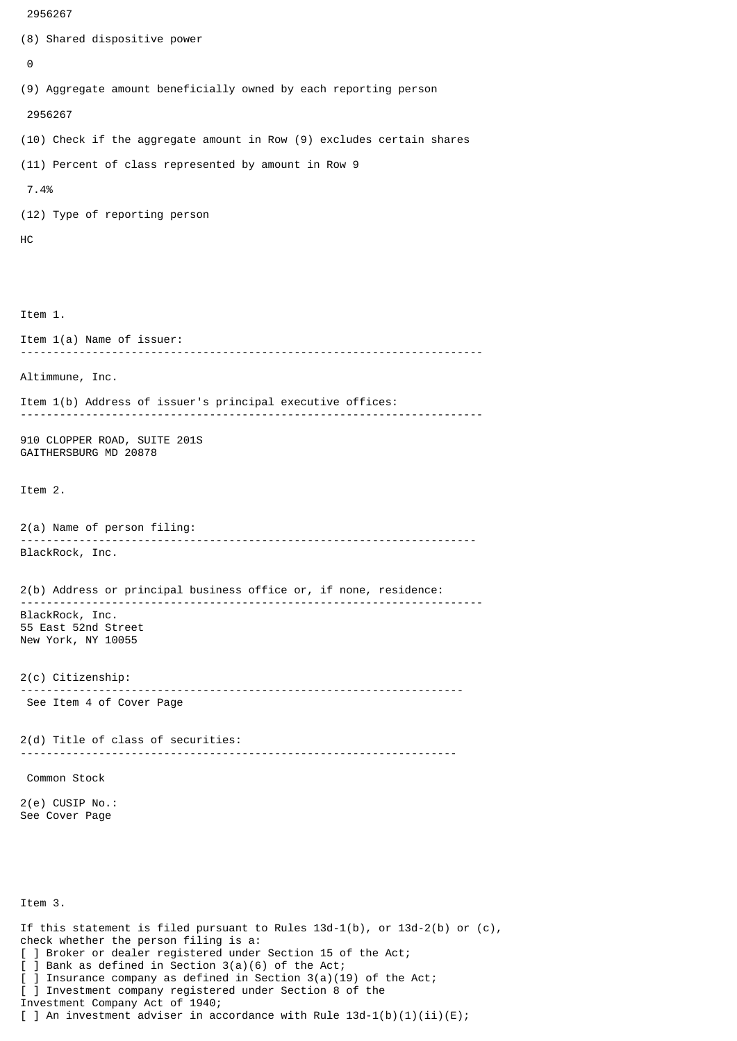```
 2956267
(8) Shared dispositive power
 \boldsymbol{\Theta}(9) Aggregate amount beneficially owned by each reporting person
  2956267
(10) Check if the aggregate amount in Row (9) excludes certain shares
(11) Percent of class represented by amount in Row 9
  7.4%
(12) Type of reporting person
HC
Item 1.
Item 1(a) Name of issuer:
                 -----------------------------------------------------------------------
Altimmune, Inc.
Item 1(b) Address of issuer's principal executive offices:
-----------------------------------------------------------------------
910 CLOPPER ROAD, SUITE 201S
GAITHERSBURG MD 20878
Item 2.
2(a) Name of person filing:
               ----------------------------------------------------------------------
BlackRock, Inc.
2(b) Address or principal business office or, if none, residence:
 -----------------------------------------------------------------------
BlackRock, Inc.
55 East 52nd Street
New York, NY 10055
2(c) Citizenship:
                             --------------------------------------------------------------------
 See Item 4 of Cover Page
2(d) Title of class of securities:
                                        -------------------------------------------------------------------
 Common Stock
2(e) CUSIP No.:
See Cover Page
Item 3.
If this statement is filed pursuant to Rules 13d-1(b), or 13d-2(b) or (c),
```
check whether the person filing is a: [ ] Broker or dealer registered under Section 15 of the Act; [ ] Bank as defined in Section 3(a)(6) of the Act;

] Insurance company as defined in Section  $3(a)(19)$  of the Act; [ ] Investment company registered under Section 8 of the

Investment Company Act of 1940;

[ ] An investment adviser in accordance with Rule  $13d-1(b)(1)(ii)(E)$ ;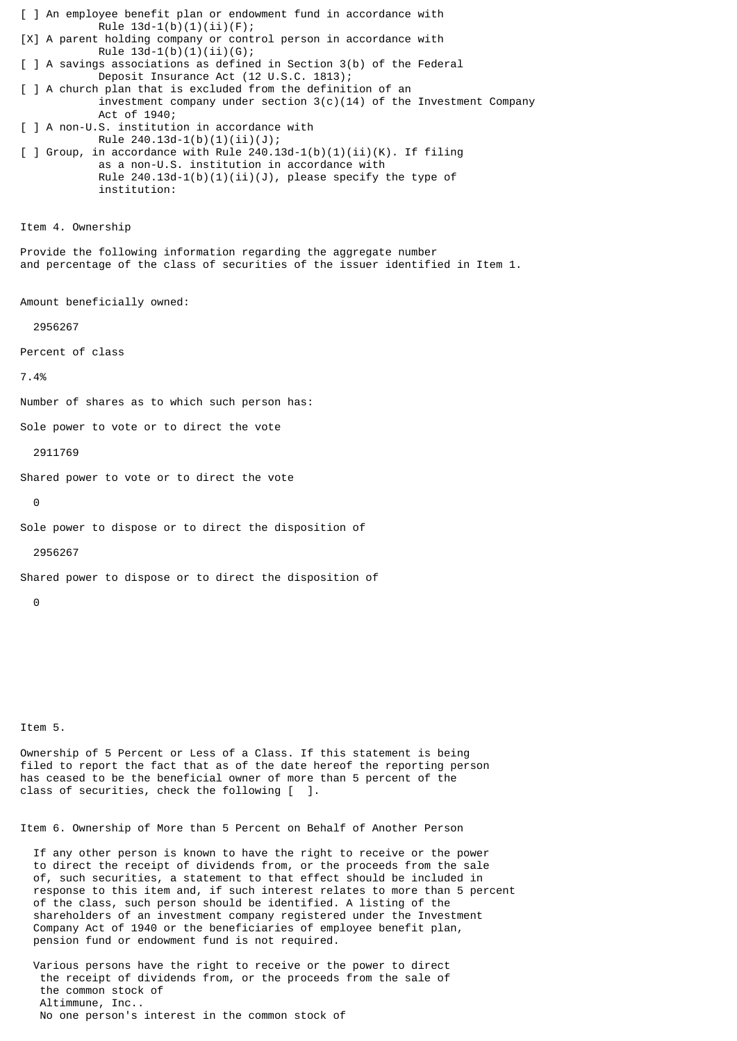[ ] An employee benefit plan or endowment fund in accordance with Rule  $13d-1(b)(1)(ii)(F);$ [X] A parent holding company or control person in accordance with Rule  $13d-1(b)(1)(ii)(G);$ [ ] A savings associations as defined in Section 3(b) of the Federal Deposit Insurance Act (12 U.S.C. 1813); [ ] A church plan that is excluded from the definition of an investment company under section  $3(c)(14)$  of the Investment Company Act of 1940; [ ] A non-U.S. institution in accordance with Rule 240.13d-1(b)(1)(ii)(J);  $\lceil$  ] Group, in accordance with Rule 240.13d-1(b)(1)(ii)(K). If filing as a non-U.S. institution in accordance with Rule  $240.13d-1(b)(1)(ii)(J)$ , please specify the type of institution: Item 4. Ownership Provide the following information regarding the aggregate number and percentage of the class of securities of the issuer identified in Item 1. Amount beneficially owned: 2956267 Percent of class 7.4% Number of shares as to which such person has: Sole power to vote or to direct the vote 2911769 Shared power to vote or to direct the vote  $\Theta$ Sole power to dispose or to direct the disposition of 2956267 Shared power to dispose or to direct the disposition of  $\Omega$ 

Item 5.

Ownership of 5 Percent or Less of a Class. If this statement is being filed to report the fact that as of the date hereof the reporting person has ceased to be the beneficial owner of more than 5 percent of the class of securities, check the following [ ].

Item 6. Ownership of More than 5 Percent on Behalf of Another Person

 If any other person is known to have the right to receive or the power to direct the receipt of dividends from, or the proceeds from the sale of, such securities, a statement to that effect should be included in response to this item and, if such interest relates to more than 5 percent of the class, such person should be identified. A listing of the shareholders of an investment company registered under the Investment Company Act of 1940 or the beneficiaries of employee benefit plan, pension fund or endowment fund is not required.

 Various persons have the right to receive or the power to direct the receipt of dividends from, or the proceeds from the sale of the common stock of Altimmune, Inc.. No one person's interest in the common stock of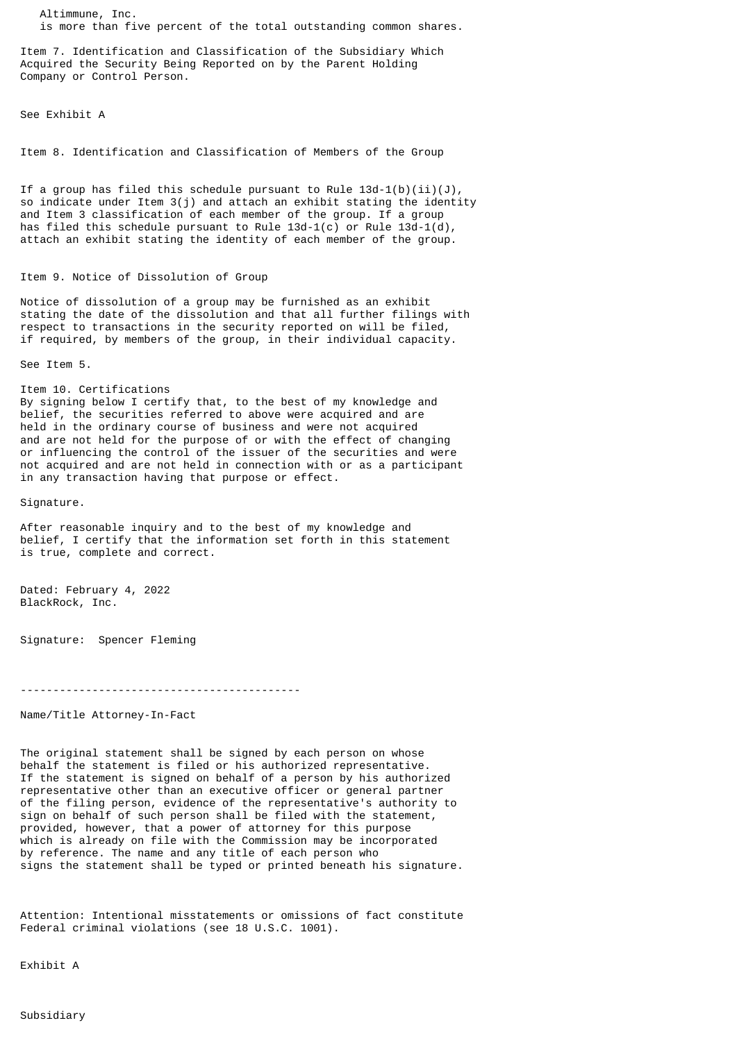Altimmune, Inc. is more than five percent of the total outstanding common shares.

Item 7. Identification and Classification of the Subsidiary Which Acquired the Security Being Reported on by the Parent Holding Company or Control Person.

See Exhibit A

Item 8. Identification and Classification of Members of the Group

If a group has filed this schedule pursuant to Rule  $13d-1(b)(ii)(J)$ , so indicate under Item 3(j) and attach an exhibit stating the identity and Item 3 classification of each member of the group. If a group has filed this schedule pursuant to Rule  $13d-1(c)$  or Rule  $13d-1(d)$ , attach an exhibit stating the identity of each member of the group.

## Item 9. Notice of Dissolution of Group

Notice of dissolution of a group may be furnished as an exhibit stating the date of the dissolution and that all further filings with respect to transactions in the security reported on will be filed, if required, by members of the group, in their individual capacity.

See Item 5.

Item 10. Certifications By signing below I certify that, to the best of my knowledge and belief, the securities referred to above were acquired and are held in the ordinary course of business and were not acquired and are not held for the purpose of or with the effect of changing or influencing the control of the issuer of the securities and were not acquired and are not held in connection with or as a participant

in any transaction having that purpose or effect.

Signature.

After reasonable inquiry and to the best of my knowledge and belief, I certify that the information set forth in this statement is true, complete and correct.

Dated: February 4, 2022 BlackRock, Inc.

Signature: Spencer Fleming

-------------------------------------------

Name/Title Attorney-In-Fact

The original statement shall be signed by each person on whose behalf the statement is filed or his authorized representative. If the statement is signed on behalf of a person by his authorized representative other than an executive officer or general partner of the filing person, evidence of the representative's authority to sign on behalf of such person shall be filed with the statement, provided, however, that a power of attorney for this purpose which is already on file with the Commission may be incorporated by reference. The name and any title of each person who signs the statement shall be typed or printed beneath his signature.

Attention: Intentional misstatements or omissions of fact constitute Federal criminal violations (see 18 U.S.C. 1001).

Exhibit A